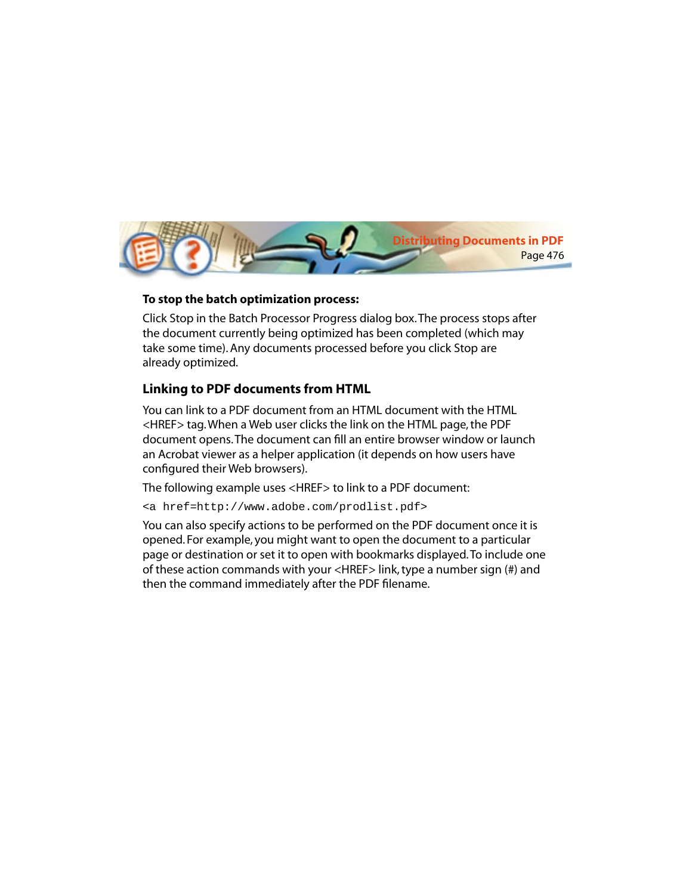

## **To stop the batch optimization process:**

Click Stop in the Batch Processor Progress dialog box. The process stops after the document currently being optimized has been completed (which may take some time). Any documents processed before you click Stop are already optimized.

## **Linking to PDF documents from HTML**

You can link to a PDF document from an HTML document with the HTML <HREF> tag. When a Web user clicks the link on the HTML page, the PDF document opens. The document can fill an entire browser window or launch an Acrobat viewer as a helper application (it depends on how users have configured their Web browsers).

The following example uses <HREF> to link to a PDF document:

<a href=http://www.adobe.com/prodlist.pdf>

You can also specify actions to be performed on the PDF document once it is opened. For example, you might want to open the document to a particular page or destination or set it to open with bookmarks displayed. To include one of these action commands with your <HREF> link, type a number sign (#) and then the command immediately after the PDF filename.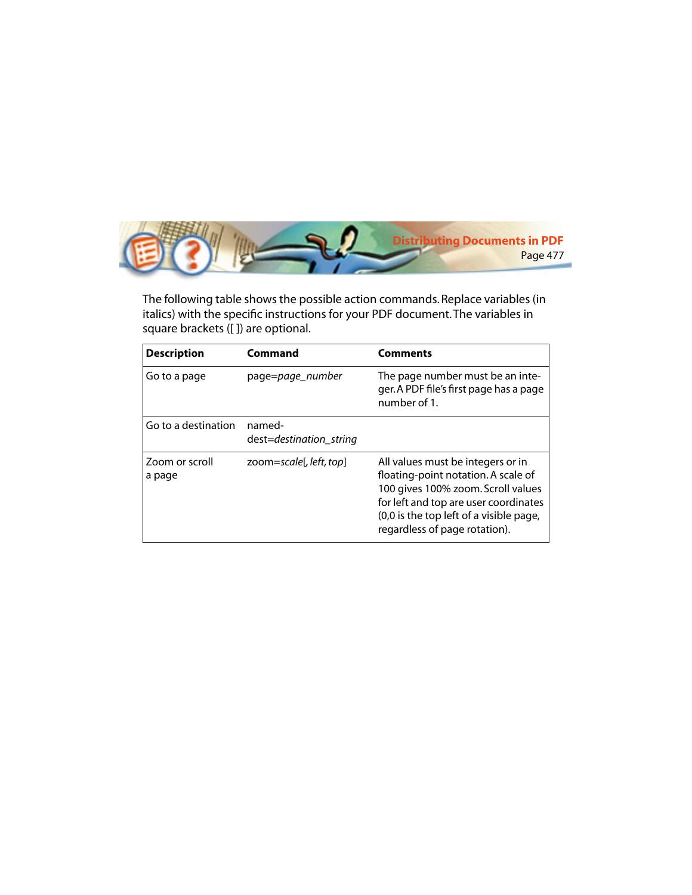

The following table shows the possible action commands. Replace variables (in italics) with the specific instructions for your PDF document. The variables in square brackets ([ ]) are optional.

| <b>Description</b>       | Command                           | <b>Comments</b>                                                                                                                                                                                                                     |
|--------------------------|-----------------------------------|-------------------------------------------------------------------------------------------------------------------------------------------------------------------------------------------------------------------------------------|
| Go to a page             | page=page_number                  | The page number must be an inte-<br>ger. A PDF file's first page has a page<br>number of 1.                                                                                                                                         |
| Go to a destination      | named-<br>dest=destination_string |                                                                                                                                                                                                                                     |
| Zoom or scroll<br>a page | zoom=scale[, left, top]           | All values must be integers or in<br>floating-point notation. A scale of<br>100 gives 100% zoom. Scroll values<br>for left and top are user coordinates<br>(0,0 is the top left of a visible page,<br>regardless of page rotation). |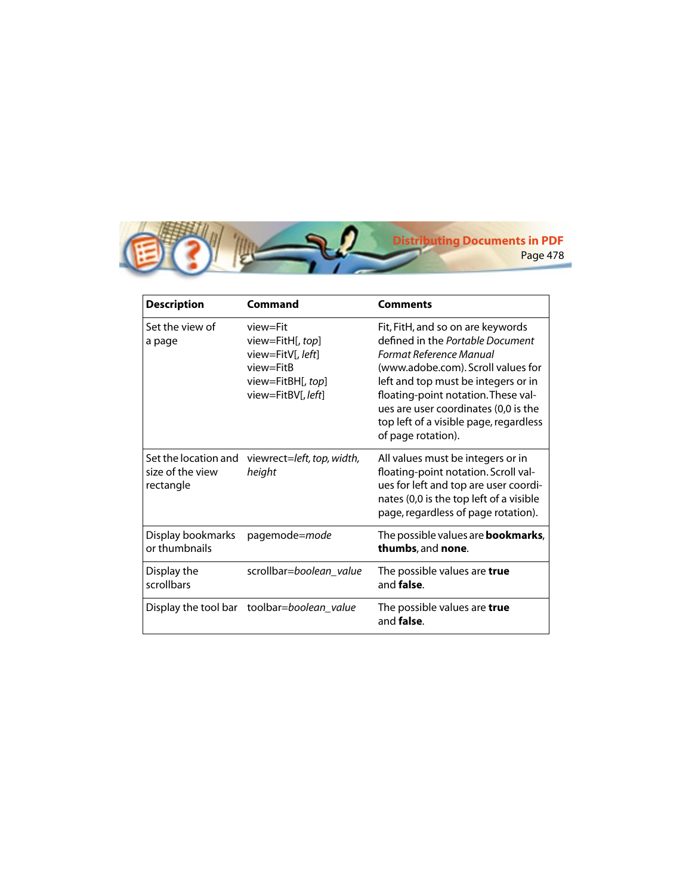

| <b>Description</b>                                    | Command                                                                                                   | <b>Comments</b>                                                                                                                                                                                                                                                                                                              |
|-------------------------------------------------------|-----------------------------------------------------------------------------------------------------------|------------------------------------------------------------------------------------------------------------------------------------------------------------------------------------------------------------------------------------------------------------------------------------------------------------------------------|
| Set the view of<br>a page                             | view=Fit<br>view=FitH[, top]<br>view=FitV[, left]<br>view=FitB<br>view=FitBH[, top]<br>view=FitBV[, left] | Fit, FitH, and so on are keywords<br>defined in the Portable Document<br>Format Reference Manual<br>(www.adobe.com). Scroll values for<br>left and top must be integers or in<br>floating-point notation. These val-<br>ues are user coordinates (0,0 is the<br>top left of a visible page, regardless<br>of page rotation). |
| Set the location and<br>size of the view<br>rectangle | viewrect=left, top, width,<br>height                                                                      | All values must be integers or in<br>floating-point notation. Scroll val-<br>ues for left and top are user coordi-<br>nates (0,0 is the top left of a visible<br>page, regardless of page rotation).                                                                                                                         |
| Display bookmarks<br>or thumbnails                    | pagemode=mode                                                                                             | The possible values are <b>bookmarks</b> ,<br>thumbs, and none.                                                                                                                                                                                                                                                              |
| Display the<br>scrollbars                             | scrollbar=boolean_value                                                                                   | The possible values are true<br>and <b>false</b> .                                                                                                                                                                                                                                                                           |
|                                                       | Display the tool bar toolbar=boolean_value                                                                | The possible values are true<br>and <b>false</b> .                                                                                                                                                                                                                                                                           |